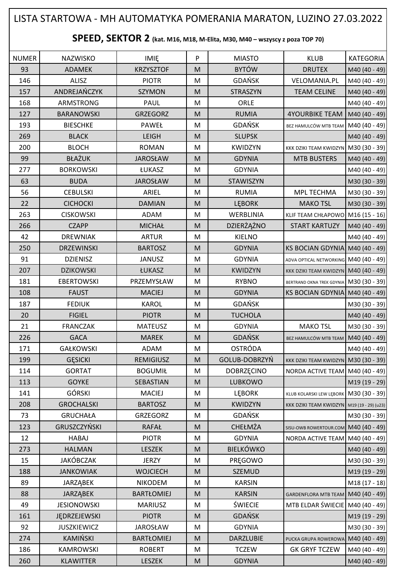## NUMER | NAZWISKO | IMIĘ | P | MIASTO | KLUB |KATEGORIA 93 | ADAMEK | KRZYSZTOF | M | BYTÓW | DRUTEX |M40 (40 - 49) 146 | ALISZ | PIOTR | M | GDAŃSK | VELOMANIA.PL |M40 (40 - 49) 157 | ANDREJAŃCZYK | SZYMON | M | STRASZYN | TEAM CELINE |M40 (40 - 49) 168 ARMSTRONG PAUL M ORLE M40 (40 - 49) 127 BARANOWSKI GRZEGORZ M M RUMIA 4YOURBIKE TEAM M40 (40 - 49) 193 | BIESCHKE | PAWEŁ | M | GDAŃSK | BEZ HAMULCÓW MTB TEAM | M40 (40 - 49) 269 BLACK LEIGH M SLUPSK M40 (40 - 49) 200 | BLOCH | ROMAN | M | KWIDZYN | KKK DZIKI TEAM KWIDZYN M30 (30 - 39) 99 | BŁAŻUK | JAROSŁAW | M. | GDYNIA | MTB BUSTERS |M40 (40 - 49) 277 | BORKOWSKI | ŁUKASZ | M | GDYNIA | | M40 (40 - 49) 63 BUDA JAROSŁAW M STAWISZYN M30 (30 - 39) 56 | CEBULSKI | ARIEL |M | RUMIA | MPL TECHMA |M30 (30 - 39) 22 | CICHOCKI | DAMIAN |M | LĘBORK | MAKO<code>TSL |</code>M30 (30 - 39) 263 CISKOWSKI ADAM M WERBLINIA KLIF TEAM CHŁAPOWO M16 (15 - 16) 266 CZAPP | MICHAŁ | M | DZIERŻAŻNO | START KARTUZY | M40 (40 - 49) 42 | DREWNIAK | ARTUR | M | KIELNO | |M40 (40 - 49) 250 | DRZEWINSKI | BARTOSZ | M | GDYNIA |KS BOCIAN GDYNIA M40 (40 - 49) 91 | DZIENISZ | JANUSZ | M | GDYNIA | ADVA OPTICAL NETWORKING M40 (40 - 49) 207 | DZIKOWSKI | ŁUKASZ | M | KWIDZYN | KKK DZIKI TEAM KWIDZYN M40 (40 - 49) 181 | EBERTOWSKI | PRZEMYSŁAW | M | RYBNO | BERTRAND OKNA TREK GDYNIA M30 (30 - 39) 108 FAUST MACIEJ M GDYNIA KS BOCIAN GDYNIA M40 (40 - 49) 187 FEDIUK KAROL M GDAŃSK M30 (30 - 39) 20 FIGIEL PIOTR M TUCHOLA M40 (40 - 49) 21 | FRANCZAK | MATEUSZ |M | GDYNIA | MAKO<code>TSL</code> |M30 (30 - 39) 226 GACA MAREK M GDAŃSK BEZ HAMULCÓW MTB TEAM M40 (40 - 49) 171 GAŁKOWSKI ADAM M OSTRÓDA M40 (40 - 49) 199 GESICKI REMIGIUSZ M GOLUB-DOBRZYŃ KKK DZIKI TEAM KWIDZYN M30 (30 - 39) 114 GORTAT | BOGUMIŁ M DOBRZĘCINO NORDA ACTIVE TEAM M40 (40 - 49) 113 | GOYKE | SEBASTIAN | M | LUBKOWO | |M19 (19 - 29) 141 | GÓRSKI | MACIEJ | M | LĘBORK | KLUB KOLARSKI LEW LĘBORK | M30 (30 - 39) 208 GROCHALSKI | BARTOSZ M KWIDZYN KKK DZIKI TEAM KWIDZYN M19 (19 - 29) (u23) 73 | GRUCHAŁA | GRZEGORZ | M | GDAŃSK | |M30 (30 - 39) 123 GRUSZCZYŃSKI RAFAŁ M CHEŁMŻA SISU-OWB ROWERTOUR.COM M40 (40 - 49) 12 | HABAJ PIOTR | M | GDYNIA | NORDA ACTIVE TEAM M40 (40 - 49) 273 | HALMAN | LESZEK |M | BIELKÓWKO | |M40 (40 - 49) 15 | JAKÓBCZAK | JERZY | M | PRĘGOWO | |M30 (30 - 39) 188 | JANKOWIAK | WOJCIECH | M | SZEMUD | M19 (19 - 29) 89 | JARZĄBEK | NIKODEM | M | KARSIN | |M18 (17 - 18) 88 | JARZĄBEK | BARTŁOMIEJ | M | KARSIN | GARDENFLORA MTB TEAM | M40 (40 - 49) 49 JESIONOWSKI MARIUSZ M ŚWIECIE MTB ELDAR ŚWIECIE M40 (40 - 49) 161 | JĘDRZEJEWSKI | PIOTR | M | GDAŃSK | M19 (19 - 29) 92 JUSZKIEWICZ | JAROSŁAW | M | GDYNIA | M30 (30 - 39) 274 | KAMIŃSKI | BARTŁOMIEJ | M | DARZLUBIE | PUCKA GRUPA ROWEROWA M40 (40 - 49) 186 | KAMROWSKI | ROBERT | M | TCZEW | GK GRYF TCZEW | M40 (40 - 49) 260 | KLAWITTER | LESZEK |M | GDYNIA | M00 (40 - 49) **SPEED, SEKTOR 2 (kat. M16, M18, M-Elita, M30, M40 – wszyscy z poza TOP 70)** LISTA STARTOWA - MH AUTOMATYKA POMERANIA MARATON, LUZINO 27.03.2022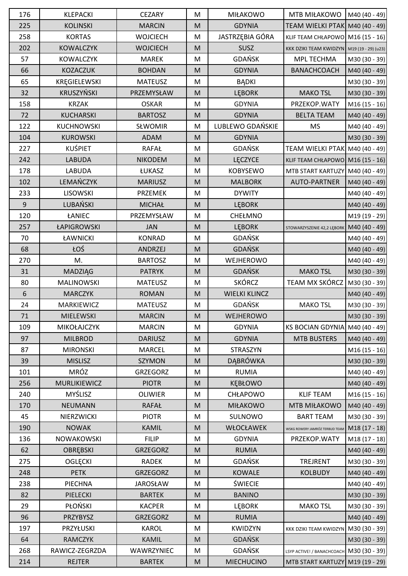| 176   | <b>KLEPACKI</b>     | <b>CEZARY</b>   | M                                                                                                          | <b>MIŁAKOWO</b>      | MTB MIŁAKOWO                               | $M40(40-49)$  |
|-------|---------------------|-----------------|------------------------------------------------------------------------------------------------------------|----------------------|--------------------------------------------|---------------|
| 225   | <b>KOLINSKI</b>     | <b>MARCIN</b>   | M                                                                                                          | <b>GDYNIA</b>        | TEAM WIELKI PTAK M40 (40 - 49)             |               |
| 258   | <b>KORTAS</b>       | <b>WOJCIECH</b> | M                                                                                                          | JASTRZĘBIA GÓRA      | KLIF TEAM CHŁAPOWO M16 (15 - 16)           |               |
| 202   | <b>KOWALCZYK</b>    | <b>WOJCIECH</b> | M                                                                                                          | <b>SUSZ</b>          | KKK DZIKI TEAM KWIDZYN M19 (19 - 29) (u23) |               |
| 57    | <b>KOWALCZYK</b>    | <b>MAREK</b>    | M                                                                                                          | GDAŃSK               | MPL TECHMA                                 | M30 (30 - 39) |
| 66    | KOZACZUK            | <b>BOHDAN</b>   | M                                                                                                          | <b>GDYNIA</b>        | <b>BANACHCOACH</b>                         | M40 (40 - 49) |
| 65    | KRĘGIELEWSKI        | <b>MATEUSZ</b>  | M                                                                                                          | <b>BĄDKI</b>         |                                            | M30 (30 - 39) |
| 32    | <b>KRUSZYŃSKI</b>   | PRZEMYSŁAW      | M                                                                                                          | <b>LEBORK</b>        | <b>MAKO TSL</b>                            | M30 (30 - 39) |
| 158   | <b>KRZAK</b>        | <b>OSKAR</b>    | M                                                                                                          | <b>GDYNIA</b>        | PRZEKOP.WATY                               | $M16(15-16)$  |
| 72    | <b>KUCHARSKI</b>    | <b>BARTOSZ</b>  | M                                                                                                          | <b>GDYNIA</b>        | <b>BELTA TEAM</b>                          | M40 (40 - 49) |
| 122   | <b>KUCHNOWSKI</b>   | SŁWOMIR         | M                                                                                                          | LUBLEWO GDAŃSKIE     | <b>MS</b>                                  | M40 (40 - 49) |
| 104   | <b>KUROWSKI</b>     | <b>ADAM</b>     | M                                                                                                          | <b>GDYNIA</b>        |                                            | M30 (30 - 39) |
| 227   | <b>KUŚPIET</b>      | <b>RAFAŁ</b>    | ${\sf M}$                                                                                                  | <b>GDAŃSK</b>        | TEAM WIELKI PTAK M40 (40 - 49)             |               |
| 242   | <b>LABUDA</b>       | <b>NIKODEM</b>  | M                                                                                                          | LĘCZYCE              | KLIF TEAM CHŁAPOWO M16 (15 - 16)           |               |
| 178   | <b>LABUDA</b>       | ŁUKASZ          | M                                                                                                          | <b>KOBYSEWO</b>      | MTB START KARTUZY M40 (40 - 49)            |               |
| 102   | LEMAŃCZYK           | <b>MARIUSZ</b>  | M                                                                                                          | <b>MALBORK</b>       | AUTO-PARTNER                               | M40 (40 - 49) |
| 233   | <b>LISOWSKI</b>     | <b>PRZEMEK</b>  | M                                                                                                          | <b>DYWITY</b>        |                                            | M40 (40 - 49) |
| 9     | LUBAŃSKI            | <b>MICHAŁ</b>   | M                                                                                                          | <b>LEBORK</b>        |                                            | M40 (40 - 49) |
| 120   | ŁANIEC              | PRZEMYSŁAW      | M                                                                                                          | CHEŁMNO              |                                            | M19 (19 - 29) |
| 257   | ŁAPIGROWSKI         | <b>JAN</b>      | M                                                                                                          | <b>LEBORK</b>        | STOWARZYSZENIE 42,2 LĘBORK                 | M40 (40 - 49) |
| 70    | ŁAWNICKI            | <b>KONRAD</b>   | M                                                                                                          | GDAŃSK               |                                            | M40 (40 - 49) |
| 68    | ŁOŚ                 | ANDRZEJ         | M                                                                                                          | <b>GDAŃSK</b>        |                                            | M40 (40 - 49) |
| 270   | M.                  | <b>BARTOSZ</b>  | M                                                                                                          | WEJHEROWO            |                                            | M40 (40 - 49) |
| 31    | MADZIĄG             | <b>PATRYK</b>   | M                                                                                                          | <b>GDAŃSK</b>        | <b>MAKO TSL</b>                            | M30 (30 - 39) |
| 80    | <b>MALINOWSKI</b>   | <b>MATEUSZ</b>  | M                                                                                                          | <b>SKÓRCZ</b>        | TEAM MX SKÓRCZ                             | M30 (30 - 39) |
| $6\,$ | <b>MARCZYK</b>      | <b>ROMAN</b>    | M                                                                                                          | <b>WIELKI KLINCZ</b> |                                            | M40 (40 - 49) |
| 24    | MARKIEWICZ          | <b>MATEUSZ</b>  | ${\sf M}$                                                                                                  | GDAŃSK               | <b>MAKO TSL</b>                            | M30 (30 - 39) |
| 71    | MIELEWSKI           | <b>MARCIN</b>   | $\mathsf{M}% _{T}=\mathsf{M}_{T}\!\left( a,b\right) ,\ \mathsf{M}_{T}=\mathsf{M}_{T}\!\left( a,b\right) ,$ | WEJHEROWO            |                                            | M30 (30 - 39) |
| 109   | MIKOŁAJCZYK         | <b>MARCIN</b>   | M                                                                                                          | <b>GDYNIA</b>        | KS BOCIAN GDYNIA M40 (40 - 49)             |               |
| 97    | <b>MILBROD</b>      | <b>DARIUSZ</b>  | M                                                                                                          | <b>GDYNIA</b>        | <b>MTB BUSTERS</b>                         | M40 (40 - 49) |
| 87    | <b>MIRONSKI</b>     | <b>MARCEL</b>   | M                                                                                                          | STRASZYN             |                                            | $M16(15-16)$  |
| 39    | <b>MISLISZ</b>      | <b>SZYMON</b>   | M                                                                                                          | DĄBRÓWKA             |                                            | M30 (30 - 39) |
| 101   | <b>MRÓZ</b>         | <b>GRZEGORZ</b> | M                                                                                                          | <b>RUMIA</b>         |                                            | M40 (40 - 49) |
| 256   | <b>MURLIKIEWICZ</b> | <b>PIOTR</b>    | M                                                                                                          | <b>KEBŁOWO</b>       |                                            | M40 (40 - 49) |
| 240   | MYŚLISZ             | <b>OLIWIER</b>  | M                                                                                                          | CHŁAPOWO             | <b>KLIF TEAM</b>                           | $M16(15-16)$  |
| 170   | NEUMANN             | <b>RAFAŁ</b>    | M                                                                                                          | <b>MIŁAKOWO</b>      | MTB MIŁAKOWO                               | M40 (40 - 49) |
| 45    | NIERZWICKI          | <b>PIOTR</b>    | M                                                                                                          | SULNOWO              | <b>BART TEAM</b>                           | M30 (30 - 39) |
| 190   | <b>NOWAK</b>        | <b>KAMIL</b>    | M                                                                                                          | WŁOCŁAWEK            | WSKG ROWERY JAMRÓZ TERBUD TEAM             | M18 (17 - 18) |
| 136   | NOWAKOWSKI          | <b>FILIP</b>    | M                                                                                                          | <b>GDYNIA</b>        | PRZEKOP.WATY                               | $M18(17-18)$  |
| 62    | OBRĘBSKI            | <b>GRZEGORZ</b> | M                                                                                                          | <b>RUMIA</b>         |                                            | M40 (40 - 49) |
| 275   | <b>OGLĘCKI</b>      | <b>RADEK</b>    | M                                                                                                          | GDAŃSK               | <b>TREJRENT</b>                            | M30 (30 - 39) |
| 248   | <b>PETK</b>         | GRZEGORZ        | M                                                                                                          | <b>KOWALE</b>        | <b>KOLBUDY</b>                             | M40 (40 - 49) |
| 238   | PIECHNA             | <b>JAROSŁAW</b> | M                                                                                                          | <b>ŚWIECIE</b>       |                                            | M40 (40 - 49) |
| 82    | PIELECKI            | <b>BARTEK</b>   | M                                                                                                          | <b>BANINO</b>        |                                            | M30 (30 - 39) |
| 29    | PŁOŃSKI             | <b>KACPER</b>   | M                                                                                                          | <b>LEBORK</b>        | <b>MAKO TSL</b>                            | M30 (30 - 39) |
| 96    | PRZYBYSZ            | <b>GRZEGORZ</b> | M                                                                                                          | <b>RUMIA</b>         |                                            | M40 (40 - 49) |
| 197   | PRZYŁUSKI           | <b>KAROL</b>    | M                                                                                                          | KWIDZYN              | KKK DZIKI TEAM KWIDZYN                     | M30 (30 - 39) |
| 64    | <b>RAMCZYK</b>      | <b>KAMIL</b>    | M                                                                                                          | <b>GDAŃSK</b>        |                                            | M30 (30 - 39) |
| 268   | RAWICZ-ZEGRZDA      | WAWRZYNIEC      | M                                                                                                          | GDAŃSK               | LSYP ACTIVE! / BANACHCOACH   M30 (30 - 39) |               |
| 214   | <b>REJTER</b>       | <b>BARTEK</b>   | $\mathsf{M}% _{T}=\mathsf{M}_{T}\!\left( a,b\right) ,\ \mathsf{M}_{T}=\mathsf{M}_{T}\!\left( a,b\right) ,$ | <b>MIECHUCINO</b>    | MTB START KARTUZY M19 (19 - 29)            |               |